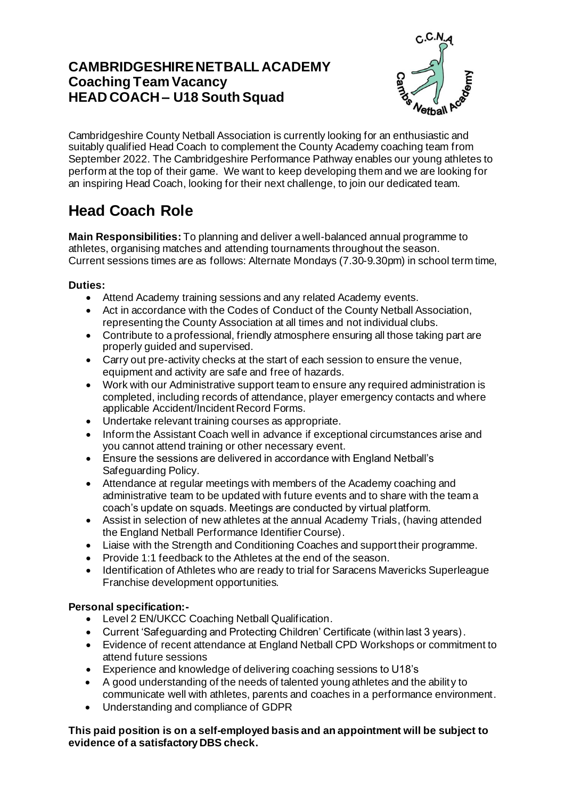## **CAMBRIDGESHIRE NETBALL ACADEMY Coaching Team Vacancy HEAD COACH – U18 SouthSquad**



Cambridgeshire County Netball Association is currently looking for an enthusiastic and suitably qualified Head Coach to complement the County Academy coaching team from September 2022. The Cambridgeshire Performance Pathway enables our young athletes to perform at the top of their game. We want to keep developing them and we are looking for an inspiring Head Coach, looking for their next challenge, to join our dedicated team.

# **Head Coach Role**

**Main Responsibilities:** To planning and deliver a well-balanced annual programme to athletes, organising matches and attending tournaments throughout the season. Current sessions times are as follows: Alternate Mondays (7.30-9.30pm) in school term time,

#### **Duties:**

- Attend Academy training sessions and any related Academy events.
- Act in accordance with the Codes of Conduct of the County Netball Association, representing the County Association at all times and not individual clubs.
- Contribute to a professional, friendly atmosphere ensuring all those taking part are properly guided and supervised.
- Carry out pre-activity checks at the start of each session to ensure the venue, equipment and activity are safe and free of hazards.
- Work with our Administrative support team to ensure any required administration is completed, including records of attendance, player emergency contacts and where applicable Accident/Incident Record Forms.
- Undertake relevant training courses as appropriate.
- Inform the Assistant Coach well in advance if exceptional circumstances arise and you cannot attend training or other necessary event.
- Ensure the sessions are delivered in accordance with England Netball's Safeguarding Policy.
- Attendance at regular meetings with members of the Academy coaching and administrative team to be updated with future events and to share with the team a coach's update on squads. Meetings are conducted by virtual platform.
- Assist in selection of new athletes at the annual Academy Trials, (having attended the England Netball Performance Identifier Course).
- Liaise with the Strength and Conditioning Coaches and support their programme.
- Provide 1:1 feedback to the Athletes at the end of the season.
- Identification of Athletes who are ready to trial for Saracens Mavericks Superleague Franchise development opportunities.

### **Personal specification:-**

- Level 2 EN/UKCC Coaching Netball Qualification.
- Current 'Safeguarding and Protecting Children' Certificate (within last 3 years).
- Evidence of recent attendance at England Netball CPD Workshops or commitment to attend future sessions
- Experience and knowledge of delivering coaching sessions to U18's
- A good understanding of the needs of talented young athletes and the ability to communicate well with athletes, parents and coaches in a performance environment.
- Understanding and compliance of GDPR

#### **This paid position is on a self-employed basis and an appointment will be subject to evidence of a satisfactory DBS check.**